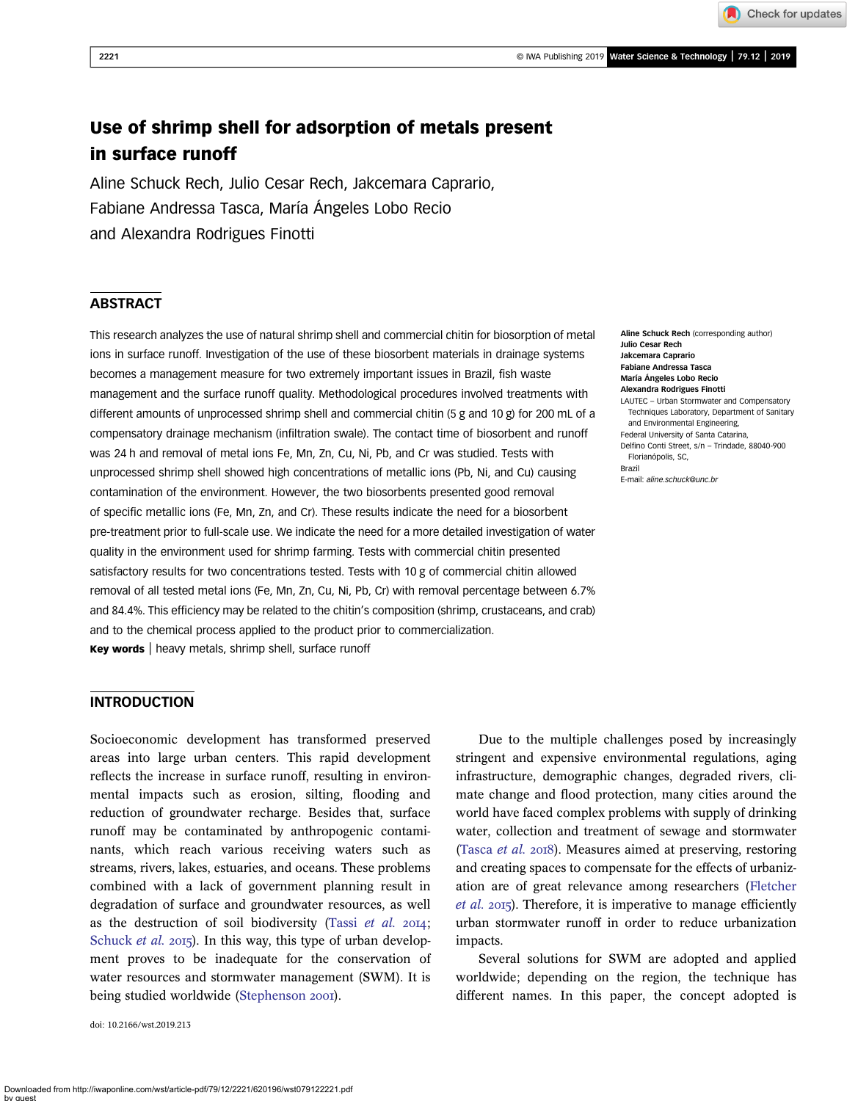2221 © IWA Publishing 2019 Water Science & Technology | 79.12 | 2019

Check for updates

# Use of shrimp shell for adsorption of metals present in surface runoff

Aline Schuck Rech, Julio Cesar Rech, Jakcemara Caprario, Fabiane Andressa Tasca, María Ángeles Lobo Recio and Alexandra Rodrigues Finotti

# **ABSTRACT**

This research analyzes the use of natural shrimp shell and commercial chitin for biosorption of metal ions in surface runoff. Investigation of the use of these biosorbent materials in drainage systems becomes a management measure for two extremely important issues in Brazil, fish waste management and the surface runoff quality. Methodological procedures involved treatments with different amounts of unprocessed shrimp shell and commercial chitin (5 g and 10 g) for 200 mL of a compensatory drainage mechanism (infiltration swale). The contact time of biosorbent and runoff was 24 h and removal of metal ions Fe, Mn, Zn, Cu, Ni, Pb, and Cr was studied. Tests with unprocessed shrimp shell showed high concentrations of metallic ions (Pb, Ni, and Cu) causing contamination of the environment. However, the two biosorbents presented good removal of specific metallic ions (Fe, Mn, Zn, and Cr). These results indicate the need for a biosorbent pre-treatment prior to full-scale use. We indicate the need for a more detailed investigation of water quality in the environment used for shrimp farming. Tests with commercial chitin presented satisfactory results for two concentrations tested. Tests with 10 g of commercial chitin allowed removal of all tested metal ions (Fe, Mn, Zn, Cu, Ni, Pb, Cr) with removal percentage between 6.7% and 84.4%. This efficiency may be related to the chitin's composition (shrimp, crustaceans, and crab) and to the chemical process applied to the product prior to commercialization. Key words | heavy metals, shrimp shell, surface runoff

Aline Schuck Rech (corresponding author) Julio Cesar Rech Jakcemara Caprario Fabiane Andressa Tasca María Ángeles Lobo Recio Alexandra Rodrigues Finotti LAUTEC – Urban Stormwater and Compensatory Techniques Laboratory, Department of Sanitary and Environmental Engineering, Federal University of Santa Catarina, Delfino Conti Street, s/n – Trindade, 88040-900 Florianópolis, SC, Brazil

E-mail: [aline.schuck@unc.br](mailto:aline.schuck@unc.br)

# INTRODUCTION

Socioeconomic development has transformed preserved areas into large urban centers. This rapid development reflects the increase in surface runoff, resulting in environmental impacts such as erosion, silting, flooding and reduction of groundwater recharge. Besides that, surface runoff may be contaminated by anthropogenic contaminants, which reach various receiving waters such as streams, rivers, lakes, estuaries, and oceans. These problems combined with a lack of government planning result in degradation of surface and groundwater resources, as well as the destruction of soil biodiversity (Tassi [et al.](#page-9-0)  $2014$ ; [Schuck](#page-9-0) et al.  $2015$ ). In this way, this type of urban development proves to be inadequate for the conservation of water resources and stormwater management (SWM). It is being studied worldwide [\(Stephenson](#page-9-0) 2001).

doi: 10.2166/wst.2019.213

Due to the multiple challenges posed by increasingly stringent and expensive environmental regulations, aging infrastructure, demographic changes, degraded rivers, climate change and flood protection, many cities around the world have faced complex problems with supply of drinking water, collection and treatment of sewage and stormwater [\(Tasca](#page-9-0) et al. 2018). Measures aimed at preserving, restoring and creating spaces to compensate for the effects of urbanization are of great relevance among researchers ([Fletcher](#page-8-0) [et al.](#page-8-0) 2015). Therefore, it is imperative to manage efficiently urban stormwater runoff in order to reduce urbanization impacts.

Several solutions for SWM are adopted and applied worldwide; depending on the region, the technique has different names. In this paper, the concept adopted is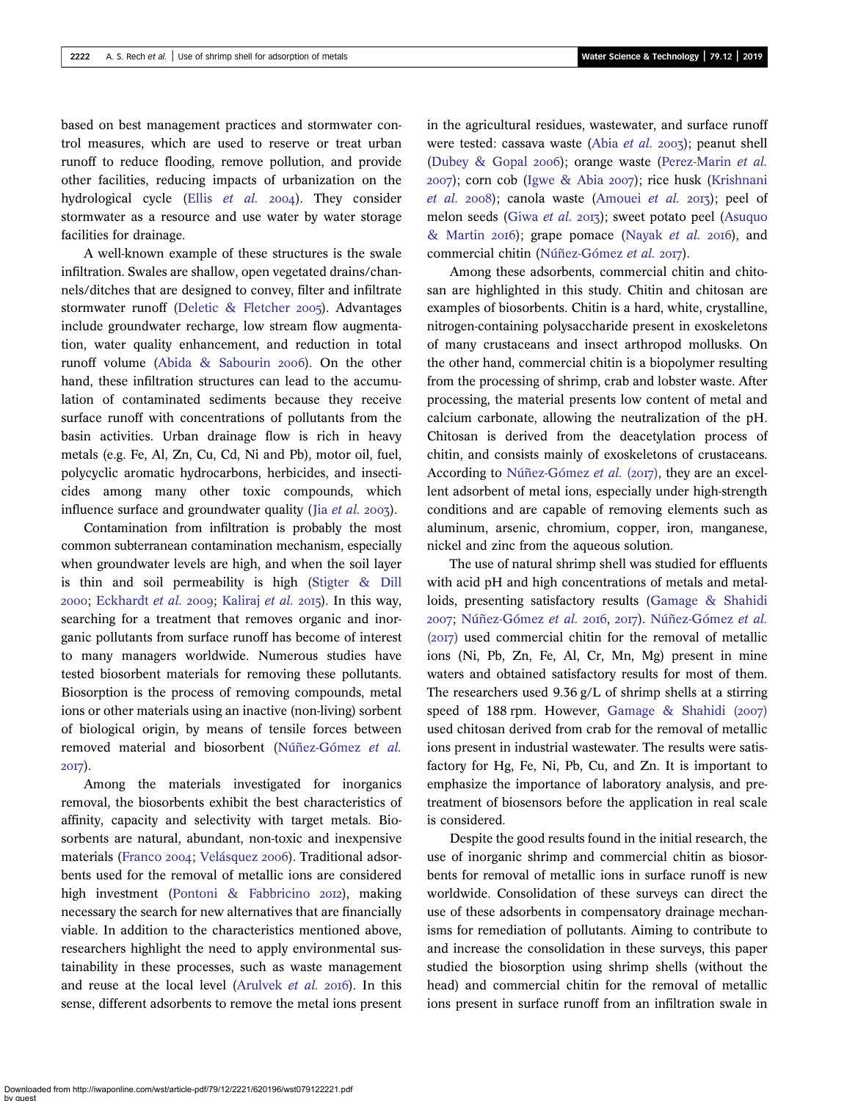based on best management practices and stormwater control measures, which are used to reserve or treat urban runoff to reduce flooding, remove pollution, and provide other facilities, reducing impacts of urbanization on the hydrological cycle (Ellis  $et$  al.  $2004$ ). They consider stormwater as a resource and use water by water storage facilities for drainage.

A well-known example of these structures is the swale infiltration. Swales are shallow, open vegetated drains/channels/ditches that are designed to convey, filter and infiltrate stormwater runoff [\(Deletic & Fletcher](#page-8-0) 2005). Advantages include groundwater recharge, low stream flow augmentation, water quality enhancement, and reduction in total runoff volume [\(Abida & Sabourin](#page-8-0) 2006). On the other hand, these infiltration structures can lead to the accumulation of contaminated sediments because they receive surface runoff with concentrations of pollutants from the basin activities. Urban drainage flow is rich in heavy metals (e.g. Fe, Al, Zn, Cu, Cd, Ni and Pb), motor oil, fuel, polycyclic aromatic hydrocarbons, herbicides, and insecticides among many other toxic compounds, which influence surface and groundwater quality (Jia *[et al.](#page-9-0)* 2003).

Contamination from infiltration is probably the most common subterranean contamination mechanism, especially when groundwater levels are high, and when the soil layer is thin and soil permeability is high ([Stigter & Dill](#page-9-0)  $2000$ ; [Eckhardt](#page-8-0) *et al.*  $2009$ ; [Kaliraj](#page-9-0) *et al.*  $2015$ ). In this way, searching for a treatment that removes organic and inorganic pollutants from surface runoff has become of interest to many managers worldwide. Numerous studies have tested biosorbent materials for removing these pollutants. Biosorption is the process of removing compounds, metal ions or other materials using an inactive (non-living) sorbent of biological origin, by means of tensile forces between removed material and biosorbent [\(Núñez-Gómez](#page-9-0) et al. 20I7).

Among the materials investigated for inorganics removal, the biosorbents exhibit the best characteristics of affinity, capacity and selectivity with target metals. Biosorbents are natural, abundant, non-toxic and inexpensive materials ([Franco](#page-8-0) 2004; [Velásquez](#page-9-0) 2006). Traditional adsorbents used for the removal of metallic ions are considered high investment ([Pontoni & Fabbricino](#page-9-0)  $20I2$ ), making necessary the search for new alternatives that are financially viable. In addition to the characteristics mentioned above, researchers highlight the need to apply environmental sustainability in these processes, such as waste management and reuse at the local level [\(Arulvek](#page-8-0) et al. 2016). In this sense, different adsorbents to remove the metal ions present in the agricultural residues, wastewater, and surface runoff were tested: cassava waste (Abia *[et al.](#page-8-0)* 2003): peanut shell ([Dubey & Gopal](#page-8-0) 2006); orange waste ([Perez-Marin](#page-9-0) et al.  $(2007)$ ; corn cob ([Igwe & Abia](#page-8-0)  $(2007)$ ; rice husk [\(Krishnani](#page-9-0) [et al.](#page-9-0) 2008); canola waste ([Amouei](#page-8-0) et al. 2013); peel of melon seeds ([Giwa](#page-8-0) et al. 2013); sweet potato peel ([Asuquo](#page-8-0) [& Martin](#page-8-0) 2016); grape pomace [\(Nayak](#page-9-0) *et al.* 2016), and commercial chitin ([Núñez-Gómez](#page-9-0) et al. 2017).

Among these adsorbents, commercial chitin and chitosan are highlighted in this study. Chitin and chitosan are examples of biosorbents. Chitin is a hard, white, crystalline, nitrogen-containing polysaccharide present in exoskeletons of many crustaceans and insect arthropod mollusks. On the other hand, commercial chitin is a biopolymer resulting from the processing of shrimp, crab and lobster waste. After processing, the material presents low content of metal and calcium carbonate, allowing the neutralization of the pH. Chitosan is derived from the deacetylation process of chitin, and consists mainly of exoskeletons of crustaceans. According to [Núñez-Gómez](#page-9-0) et al. (2017), they are an excellent adsorbent of metal ions, especially under high-strength conditions and are capable of removing elements such as aluminum, arsenic, chromium, copper, iron, manganese, nickel and zinc from the aqueous solution.

The use of natural shrimp shell was studied for effluents with acid pH and high concentrations of metals and metalloids, presenting satisfactory results [\(Gamage & Shahidi](#page-8-0) 2007; [Núñez-Gómez](#page-9-0) et al. 2016, 2017). Núñez-Gómez et al.  $(2017)$  used commercial chitin for the removal of metallic ions (Ni, Pb, Zn, Fe, Al, Cr, Mn, Mg) present in mine waters and obtained satisfactory results for most of them. The researchers used 9.36 g/L of shrimp shells at a stirring speed of 188 rpm. However, Gamage & Shahidi  $(2007)$ used chitosan derived from crab for the removal of metallic ions present in industrial wastewater. The results were satisfactory for Hg, Fe, Ni, Pb, Cu, and Zn. It is important to emphasize the importance of laboratory analysis, and pretreatment of biosensors before the application in real scale is considered.

Despite the good results found in the initial research, the use of inorganic shrimp and commercial chitin as biosorbents for removal of metallic ions in surface runoff is new worldwide. Consolidation of these surveys can direct the use of these adsorbents in compensatory drainage mechanisms for remediation of pollutants. Aiming to contribute to and increase the consolidation in these surveys, this paper studied the biosorption using shrimp shells (without the head) and commercial chitin for the removal of metallic ions present in surface runoff from an infiltration swale in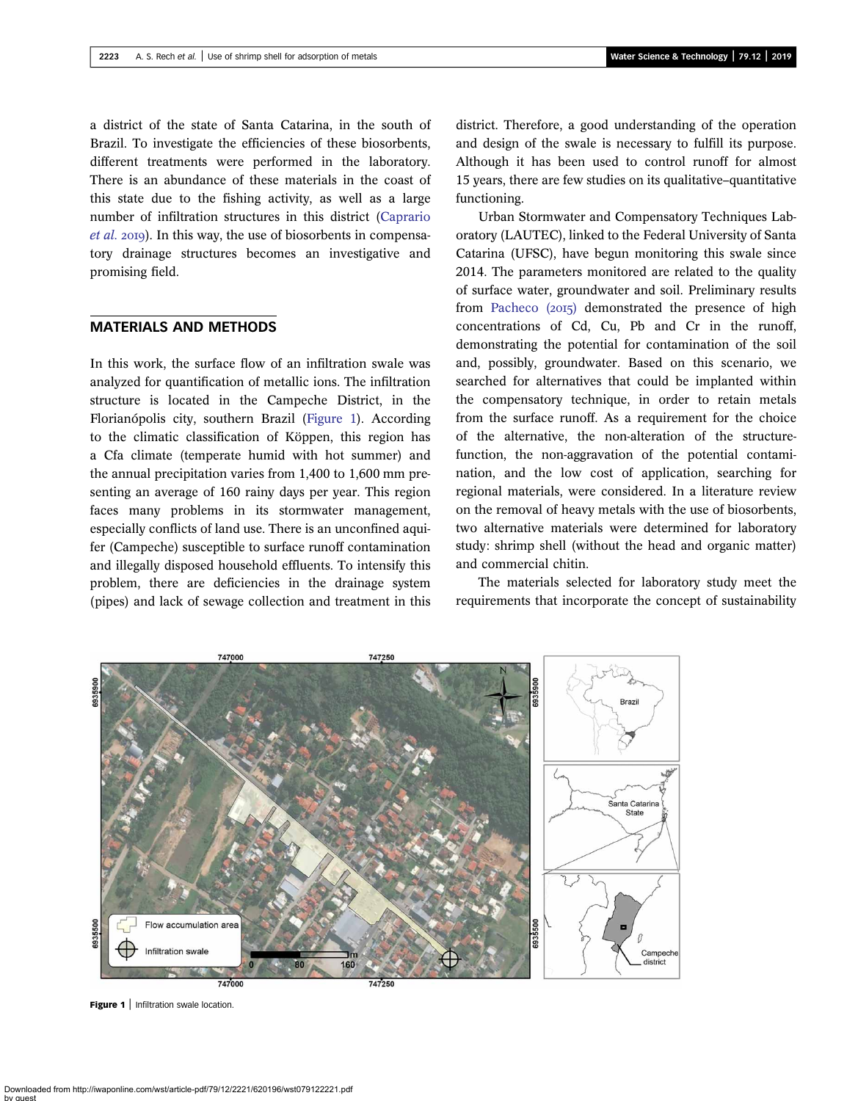a district of the state of Santa Catarina, in the south of Brazil. To investigate the efficiencies of these biosorbents, different treatments were performed in the laboratory. There is an abundance of these materials in the coast of this state due to the fishing activity, as well as a large number of infiltration structures in this district [\(Caprario](#page-8-0) [et al.](#page-8-0) 2019). In this way, the use of biosorbents in compensatory drainage structures becomes an investigative and promising field.

# MATERIALS AND METHODS

In this work, the surface flow of an infiltration swale was analyzed for quantification of metallic ions. The infiltration structure is located in the Campeche District, in the Florianópolis city, southern Brazil (Figure 1). According to the climatic classification of Köppen, this region has a Cfa climate (temperate humid with hot summer) and the annual precipitation varies from 1,400 to 1,600 mm presenting an average of 160 rainy days per year. This region faces many problems in its stormwater management, especially conflicts of land use. There is an unconfined aquifer (Campeche) susceptible to surface runoff contamination and illegally disposed household effluents. To intensify this problem, there are deficiencies in the drainage system (pipes) and lack of sewage collection and treatment in this district. Therefore, a good understanding of the operation and design of the swale is necessary to fulfill its purpose. Although it has been used to control runoff for almost 15 years, there are few studies on its qualitative–quantitative functioning.

Urban Stormwater and Compensatory Techniques Laboratory (LAUTEC), linked to the Federal University of Santa Catarina (UFSC), have begun monitoring this swale since 2014. The parameters monitored are related to the quality of surface water, groundwater and soil. Preliminary results from Pacheco  $(20I5)$  demonstrated the presence of high concentrations of Cd, Cu, Pb and Cr in the runoff, demonstrating the potential for contamination of the soil and, possibly, groundwater. Based on this scenario, we searched for alternatives that could be implanted within the compensatory technique, in order to retain metals from the surface runoff. As a requirement for the choice of the alternative, the non-alteration of the structurefunction, the non-aggravation of the potential contamination, and the low cost of application, searching for regional materials, were considered. In a literature review on the removal of heavy metals with the use of biosorbents, two alternative materials were determined for laboratory study: shrimp shell (without the head and organic matter) and commercial chitin.

The materials selected for laboratory study meet the requirements that incorporate the concept of sustainability



Figure 1 | Infiltration swale location.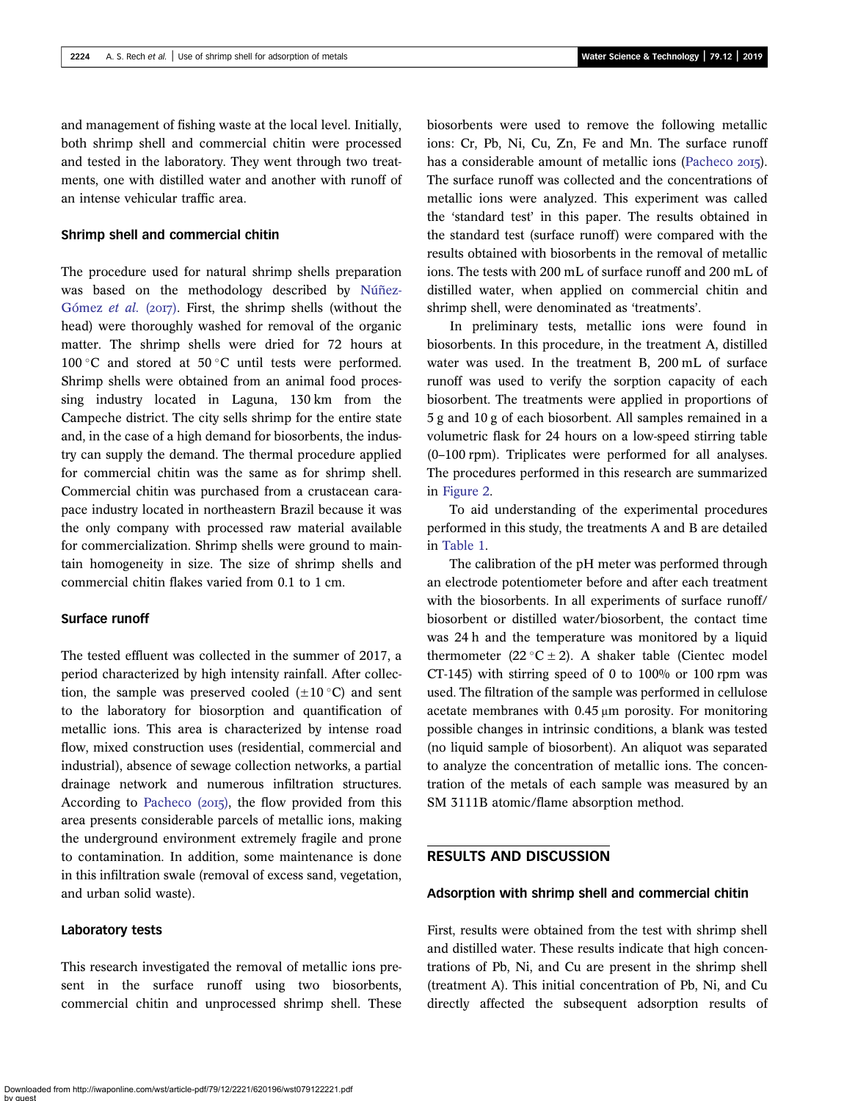and management of fishing waste at the local level. Initially, both shrimp shell and commercial chitin were processed and tested in the laboratory. They went through two treatments, one with distilled water and another with runoff of an intense vehicular traffic area.

#### Shrimp shell and commercial chitin

The procedure used for natural shrimp shells preparation was based on the methodology described by [Núñez-](#page-9-0)[Gómez](#page-9-0) et al.  $(2017)$ . First, the shrimp shells (without the head) were thoroughly washed for removal of the organic matter. The shrimp shells were dried for 72 hours at 100 °C and stored at 50 °C until tests were performed. Shrimp shells were obtained from an animal food processing industry located in Laguna, 130 km from the Campeche district. The city sells shrimp for the entire state and, in the case of a high demand for biosorbents, the industry can supply the demand. The thermal procedure applied for commercial chitin was the same as for shrimp shell. Commercial chitin was purchased from a crustacean carapace industry located in northeastern Brazil because it was the only company with processed raw material available for commercialization. Shrimp shells were ground to maintain homogeneity in size. The size of shrimp shells and commercial chitin flakes varied from 0.1 to 1 cm.

#### Surface runoff

The tested effluent was collected in the summer of 2017, a period characterized by high intensity rainfall. After collection, the sample was preserved cooled  $(\pm 10^{\circ} \text{C})$  and sent to the laboratory for biosorption and quantification of metallic ions. This area is characterized by intense road flow, mixed construction uses (residential, commercial and industrial), absence of sewage collection networks, a partial drainage network and numerous infiltration structures. According to Pacheco  $(2015)$ , the flow provided from this area presents considerable parcels of metallic ions, making the underground environment extremely fragile and prone to contamination. In addition, some maintenance is done in this infiltration swale (removal of excess sand, vegetation, and urban solid waste).

#### Laboratory tests

This research investigated the removal of metallic ions present in the surface runoff using two biosorbents, commercial chitin and unprocessed shrimp shell. These biosorbents were used to remove the following metallic ions: Cr, Pb, Ni, Cu, Zn, Fe and Mn. The surface runoff has a considerable amount of metallic ions ([Pacheco](#page-9-0) 2015). The surface runoff was collected and the concentrations of metallic ions were analyzed. This experiment was called the 'standard test' in this paper. The results obtained in the standard test (surface runoff) were compared with the results obtained with biosorbents in the removal of metallic ions. The tests with 200 mL of surface runoff and 200 mL of distilled water, when applied on commercial chitin and shrimp shell, were denominated as 'treatments'.

In preliminary tests, metallic ions were found in biosorbents. In this procedure, in the treatment A, distilled water was used. In the treatment B, 200 mL of surface runoff was used to verify the sorption capacity of each biosorbent. The treatments were applied in proportions of 5 g and 10 g of each biosorbent. All samples remained in a volumetric flask for 24 hours on a low-speed stirring table (0–100 rpm). Triplicates were performed for all analyses. The procedures performed in this research are summarized in [Figure 2.](#page-4-0)

To aid understanding of the experimental procedures performed in this study, the treatments A and B are detailed in [Table 1.](#page-4-0)

The calibration of the pH meter was performed through an electrode potentiometer before and after each treatment with the biosorbents. In all experiments of surface runoff/ biosorbent or distilled water/biosorbent, the contact time was 24 h and the temperature was monitored by a liquid thermometer  $(22 \degree C \pm 2)$ . A shaker table (Cientec model CT-145) with stirring speed of 0 to 100% or 100 rpm was used. The filtration of the sample was performed in cellulose acetate membranes with 0.45 μm porosity. For monitoring possible changes in intrinsic conditions, a blank was tested (no liquid sample of biosorbent). An aliquot was separated to analyze the concentration of metallic ions. The concentration of the metals of each sample was measured by an SM 3111B atomic/flame absorption method.

#### RESULTS AND DISCUSSION

#### Adsorption with shrimp shell and commercial chitin

First, results were obtained from the test with shrimp shell and distilled water. These results indicate that high concentrations of Pb, Ni, and Cu are present in the shrimp shell (treatment A). This initial concentration of Pb, Ni, and Cu directly affected the subsequent adsorption results of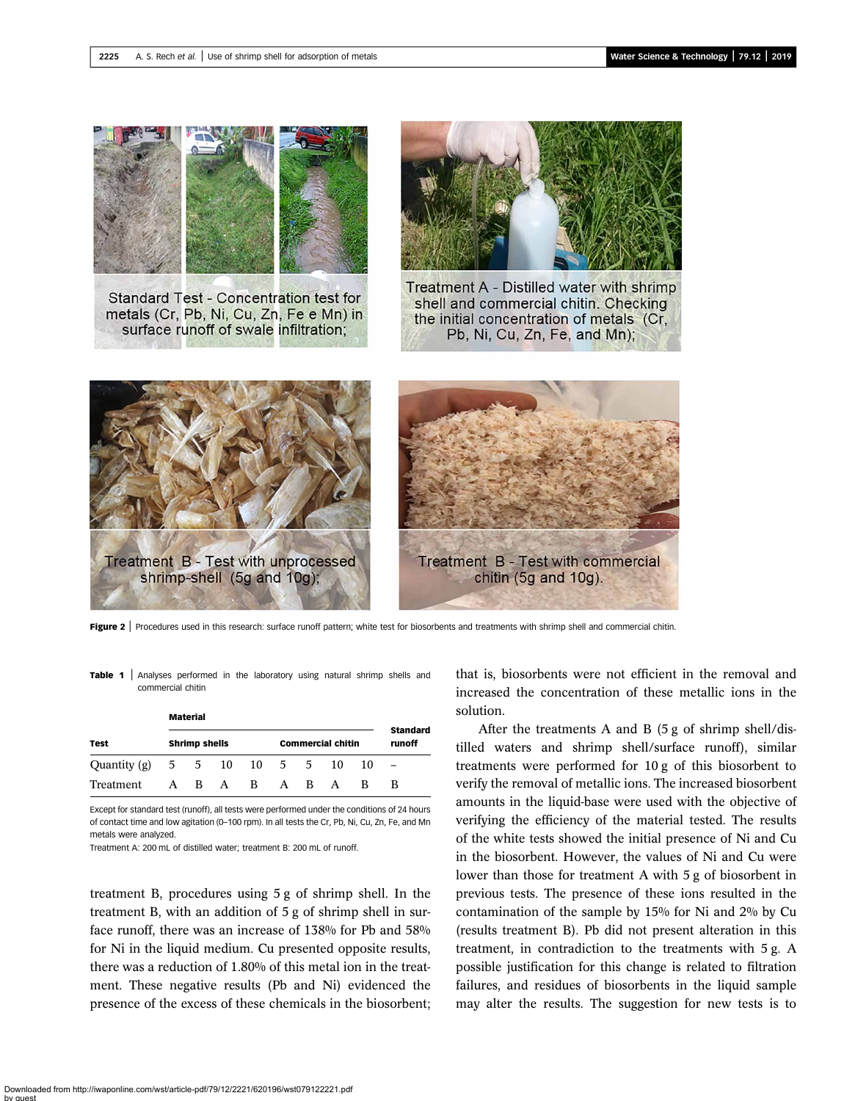<span id="page-4-0"></span>

Standard Test - Concentration test for metals (Cr. Pb, Ni, Cu, Zn, Fe e Mn) in surface runoff of swale infiltration;



Treatment A - Distilled water with shrimp shell and commercial chitin. Checking the initial concentration of metals (Cr. Pb, Ni, Cu, Zn, Fe, and Mn);



Figure 2 | Procedures used in this research: surface runoff pattern; white test for biosorbents and treatments with shrimp shell and commercial chitin.

Table 1 | Analyses performed in the laboratory using natural shrimp shells and commercial chitin

| Test<br>Quantity (g) | <b>Material</b>      |             |              |    |      |                          |                           |    |  |
|----------------------|----------------------|-------------|--------------|----|------|--------------------------|---------------------------|----|--|
|                      | <b>Shrimp shells</b> |             |              |    |      | <b>Commercial chitin</b> | <b>Standard</b><br>runoff |    |  |
|                      |                      |             | 5 5 10       |    | 10 5 | - 5                      | 10                        | 10 |  |
| Treatment            |                      | $A \quad B$ | $\mathsf{A}$ | -B | A    | <sup>R</sup>             | A                         |    |  |

Except for standard test (runoff), all tests were performed under the conditions of 24 hours of contact time and low agitation (0–100 rpm). In all tests the Cr, Pb, Ni, Cu, Zn, Fe, and Mn metals were analyzed.

Treatment A: 200 mL of distilled water; treatment B: 200 mL of runoff.

treatment B, procedures using 5 g of shrimp shell. In the treatment B, with an addition of 5 g of shrimp shell in surface runoff, there was an increase of 138% for Pb and 58% for Ni in the liquid medium. Cu presented opposite results, there was a reduction of 1.80% of this metal ion in the treatment. These negative results (Pb and Ni) evidenced the presence of the excess of these chemicals in the biosorbent; that is, biosorbents were not efficient in the removal and increased the concentration of these metallic ions in the solution.

After the treatments A and B  $(5 g$  of shrimp shell/distilled waters and shrimp shell/surface runoff), similar treatments were performed for 10 g of this biosorbent to verify the removal of metallic ions. The increased biosorbent amounts in the liquid-base were used with the objective of verifying the efficiency of the material tested. The results of the white tests showed the initial presence of Ni and Cu in the biosorbent. However, the values of Ni and Cu were lower than those for treatment A with 5 g of biosorbent in previous tests. The presence of these ions resulted in the contamination of the sample by 15% for Ni and 2% by Cu (results treatment B). Pb did not present alteration in this treatment, in contradiction to the treatments with 5 g. A possible justification for this change is related to filtration failures, and residues of biosorbents in the liquid sample may alter the results. The suggestion for new tests is to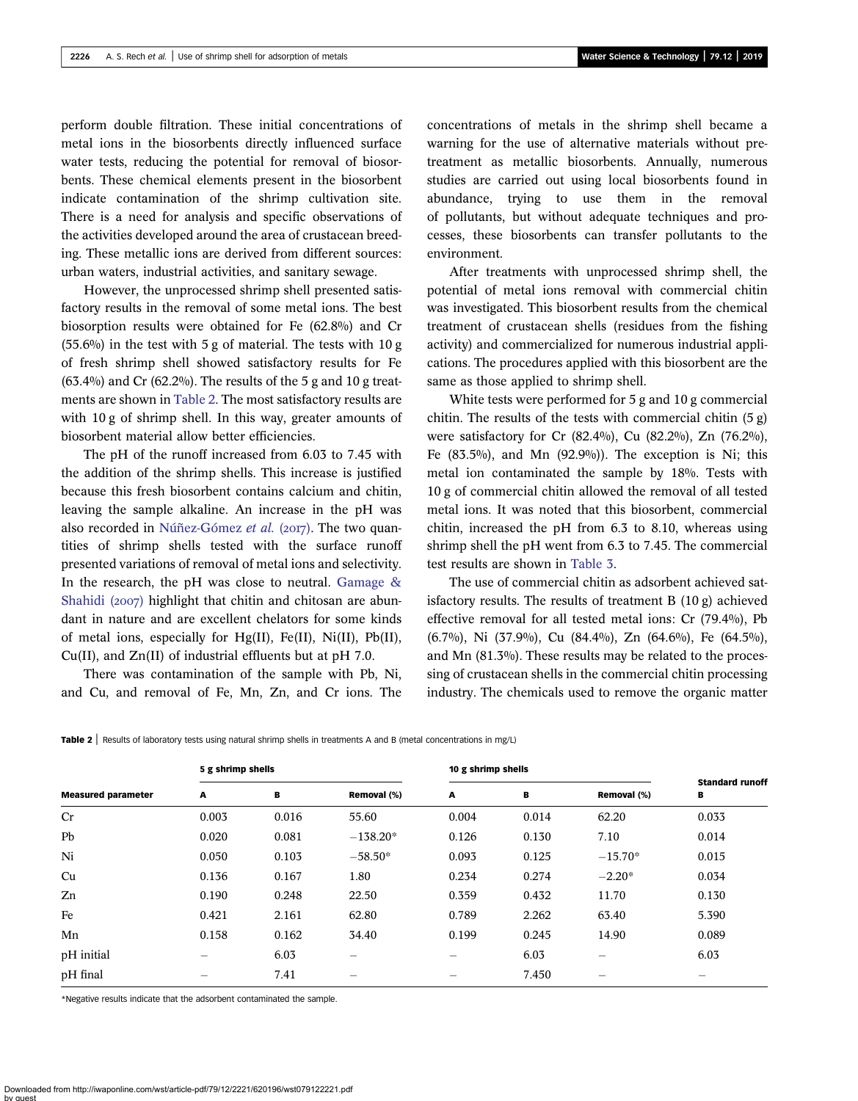perform double filtration. These initial concentrations of metal ions in the biosorbents directly influenced surface water tests, reducing the potential for removal of biosorbents. These chemical elements present in the biosorbent indicate contamination of the shrimp cultivation site. There is a need for analysis and specific observations of the activities developed around the area of crustacean breeding. These metallic ions are derived from different sources: urban waters, industrial activities, and sanitary sewage.

However, the unprocessed shrimp shell presented satisfactory results in the removal of some metal ions. The best biosorption results were obtained for Fe (62.8%) and Cr  $(55.6\%)$  in the test with 5 g of material. The tests with 10 g of fresh shrimp shell showed satisfactory results for Fe  $(63.4\%)$  and Cr  $(62.2\%)$ . The results of the 5 g and 10 g treatments are shown in Table 2. The most satisfactory results are with 10 g of shrimp shell. In this way, greater amounts of biosorbent material allow better efficiencies.

The pH of the runoff increased from 6.03 to 7.45 with the addition of the shrimp shells. This increase is justified because this fresh biosorbent contains calcium and chitin, leaving the sample alkaline. An increase in the pH was also recorded in [Núñez-Gómez](#page-9-0) et al. (2017). The two quantities of shrimp shells tested with the surface runoff presented variations of removal of metal ions and selectivity. In the research, the pH was close to neutral. Gamage  $\&$ Shahidi  $(2007)$  highlight that chitin and chitosan are abundant in nature and are excellent chelators for some kinds of metal ions, especially for Hg(II), Fe(II), Ni(II), Pb(II), Cu(II), and Zn(II) of industrial effluents but at pH 7.0.

There was contamination of the sample with Pb, Ni, and Cu, and removal of Fe, Mn, Zn, and Cr ions. The concentrations of metals in the shrimp shell became a warning for the use of alternative materials without pretreatment as metallic biosorbents. Annually, numerous studies are carried out using local biosorbents found in abundance, trying to use them in the removal of pollutants, but without adequate techniques and processes, these biosorbents can transfer pollutants to the environment.

After treatments with unprocessed shrimp shell, the potential of metal ions removal with commercial chitin was investigated. This biosorbent results from the chemical treatment of crustacean shells (residues from the fishing activity) and commercialized for numerous industrial applications. The procedures applied with this biosorbent are the same as those applied to shrimp shell.

White tests were performed for 5 g and 10 g commercial chitin. The results of the tests with commercial chitin (5 g) were satisfactory for Cr (82.4%), Cu (82.2%), Zn (76.2%), Fe  $(83.5\%)$ , and Mn  $(92.9\%)$ ). The exception is Ni; this metal ion contaminated the sample by 18%. Tests with 10 g of commercial chitin allowed the removal of all tested metal ions. It was noted that this biosorbent, commercial chitin, increased the pH from 6.3 to 8.10, whereas using shrimp shell the pH went from 6.3 to 7.45. The commercial test results are shown in [Table 3](#page-6-0).

The use of commercial chitin as adsorbent achieved satisfactory results. The results of treatment B (10 g) achieved effective removal for all tested metal ions: Cr (79.4%), Pb (6.7%), Ni (37.9%), Cu (84.4%), Zn (64.6%), Fe (64.5%), and Mn (81.3%). These results may be related to the processing of crustacean shells in the commercial chitin processing industry. The chemicals used to remove the organic matter

|  | <b>Table 2</b> Results of laboratory tests using natural shrimp shells in treatments A and B (metal concentrations in mg/L) |  |
|--|-----------------------------------------------------------------------------------------------------------------------------|--|
|--|-----------------------------------------------------------------------------------------------------------------------------|--|

|                           | 5 g shrimp shells |       |             | 10 g shrimp shells |       |             |                             |  |
|---------------------------|-------------------|-------|-------------|--------------------|-------|-------------|-----------------------------|--|
| <b>Measured parameter</b> | А                 | в     | Removal (%) | A                  | в     | Removal (%) | <b>Standard runoff</b><br>в |  |
| Cr                        | 0.003             | 0.016 | 55.60       | 0.004              | 0.014 | 62.20       | 0.033                       |  |
| Pb                        | 0.020             | 0.081 | $-138.20*$  | 0.126              | 0.130 | 7.10        | 0.014                       |  |
| Ni                        | 0.050             | 0.103 | $-58.50*$   | 0.093              | 0.125 | $-15.70*$   | 0.015                       |  |
| Cu                        | 0.136             | 0.167 | 1.80        | 0.234              | 0.274 | $-2.20*$    | 0.034                       |  |
| Zn                        | 0.190             | 0.248 | 22.50       | 0.359              | 0.432 | 11.70       | 0.130                       |  |
| Fe                        | 0.421             | 2.161 | 62.80       | 0.789              | 2.262 | 63.40       | 5.390                       |  |
| Mn                        | 0.158             | 0.162 | 34.40       | 0.199              | 0.245 | 14.90       | 0.089                       |  |
| pH initial                |                   | 6.03  |             |                    | 6.03  |             | 6.03                        |  |
| pH final                  |                   | 7.41  |             |                    | 7.450 |             |                             |  |

\*Negative results indicate that the adsorbent contaminated the sample.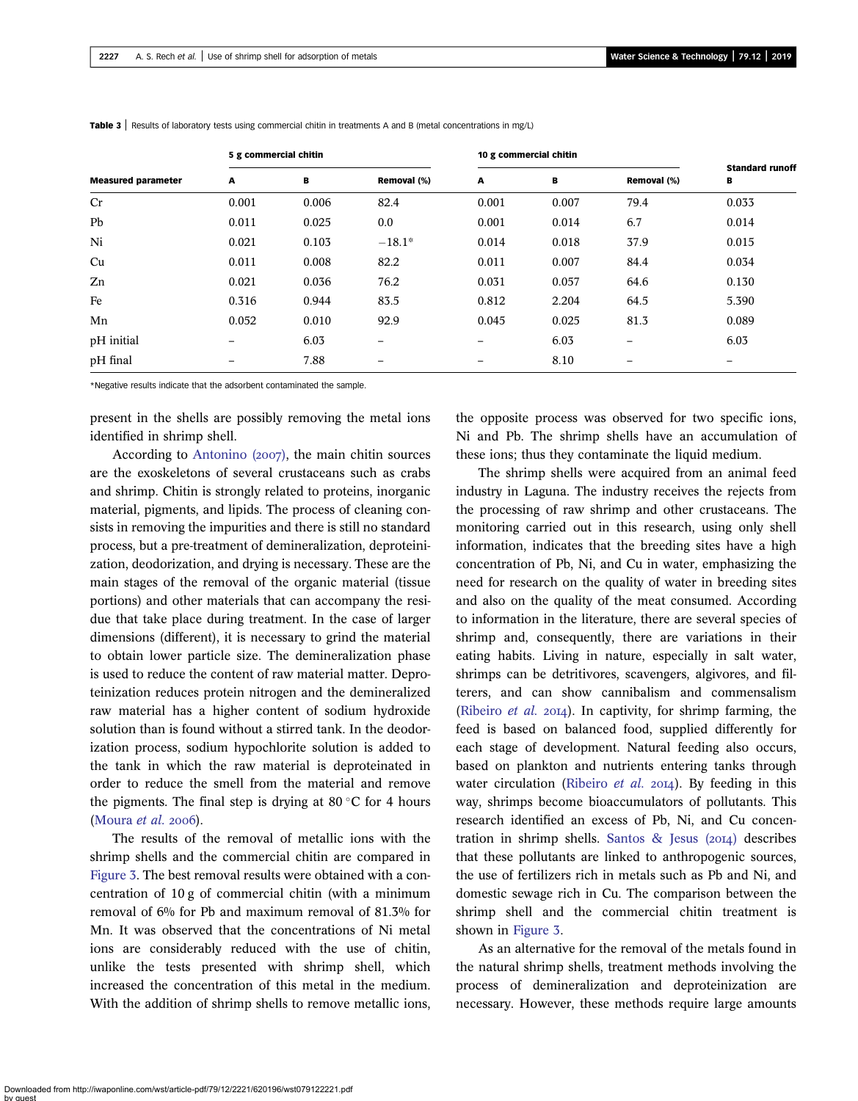|                           | 5 g commercial chitin |       |                   | 10 g commercial chitin |       |             |                             |
|---------------------------|-----------------------|-------|-------------------|------------------------|-------|-------------|-----------------------------|
| <b>Measured parameter</b> | A                     | в     | Removal (%)       | A                      | в     | Removal (%) | <b>Standard runoff</b><br>в |
| Cr                        | 0.001                 | 0.006 | 82.4              | 0.001                  | 0.007 | 79.4        | 0.033                       |
| Pb                        | 0.011                 | 0.025 | 0.0               | 0.001                  | 0.014 | 6.7         | 0.014                       |
| Ni                        | 0.021                 | 0.103 | $-18.1*$          | 0.014                  | 0.018 | 37.9        | 0.015                       |
| Cu                        | 0.011                 | 0.008 | 82.2              | 0.011                  | 0.007 | 84.4        | 0.034                       |
| Zn                        | 0.021                 | 0.036 | 76.2              | 0.031                  | 0.057 | 64.6        | 0.130                       |
| Fe                        | 0.316                 | 0.944 | 83.5              | 0.812                  | 2.204 | 64.5        | 5.390                       |
| Mn                        | 0.052                 | 0.010 | 92.9              | 0.045                  | 0.025 | 81.3        | 0.089                       |
| pH initial                |                       | 6.03  | $\qquad \qquad -$ |                        | 6.03  |             | 6.03                        |
| pH final                  |                       | 7.88  | -                 |                        | 8.10  |             |                             |

<span id="page-6-0"></span>**Table 3** Results of laboratory tests using commercial chitin in treatments A and B (metal concentrations in mg/L)

\*Negative results indicate that the adsorbent contaminated the sample.

present in the shells are possibly removing the metal ions identified in shrimp shell.

According to Antonino  $(2007)$ , the main chitin sources are the exoskeletons of several crustaceans such as crabs and shrimp. Chitin is strongly related to proteins, inorganic material, pigments, and lipids. The process of cleaning consists in removing the impurities and there is still no standard process, but a pre-treatment of demineralization, deproteinization, deodorization, and drying is necessary. These are the main stages of the removal of the organic material (tissue portions) and other materials that can accompany the residue that take place during treatment. In the case of larger dimensions (different), it is necessary to grind the material to obtain lower particle size. The demineralization phase is used to reduce the content of raw material matter. Deproteinization reduces protein nitrogen and the demineralized raw material has a higher content of sodium hydroxide solution than is found without a stirred tank. In the deodorization process, sodium hypochlorite solution is added to the tank in which the raw material is deproteinated in order to reduce the smell from the material and remove the pigments. The final step is drying at 80  $\degree$ C for 4 hours [\(Moura](#page-9-0)  $et$   $al.$  2006).

The results of the removal of metallic ions with the shrimp shells and the commercial chitin are compared in [Figure 3.](#page-7-0) The best removal results were obtained with a concentration of 10 g of commercial chitin (with a minimum removal of 6% for Pb and maximum removal of 81.3% for Mn. It was observed that the concentrations of Ni metal ions are considerably reduced with the use of chitin, unlike the tests presented with shrimp shell, which increased the concentration of this metal in the medium. With the addition of shrimp shells to remove metallic ions, the opposite process was observed for two specific ions, Ni and Pb. The shrimp shells have an accumulation of these ions; thus they contaminate the liquid medium.

The shrimp shells were acquired from an animal feed industry in Laguna. The industry receives the rejects from the processing of raw shrimp and other crustaceans. The monitoring carried out in this research, using only shell information, indicates that the breeding sites have a high concentration of Pb, Ni, and Cu in water, emphasizing the need for research on the quality of water in breeding sites and also on the quality of the meat consumed. According to information in the literature, there are several species of shrimp and, consequently, there are variations in their eating habits. Living in nature, especially in salt water, shrimps can be detritivores, scavengers, algivores, and filterers, and can show cannibalism and commensalism [\(Ribeiro](#page-9-0) *et al.* 2014). In captivity, for shrimp farming, the feed is based on balanced food, supplied differently for each stage of development. Natural feeding also occurs, based on plankton and nutrients entering tanks through water circulation [\(Ribeiro](#page-9-0)  $et$  al. 2014). By feeding in this way, shrimps become bioaccumulators of pollutants. This research identified an excess of Pb, Ni, and Cu concentration in shrimp shells. Santos & Jesus  $(2014)$  describes that these pollutants are linked to anthropogenic sources, the use of fertilizers rich in metals such as Pb and Ni, and domestic sewage rich in Cu. The comparison between the shrimp shell and the commercial chitin treatment is shown in [Figure 3](#page-7-0).

As an alternative for the removal of the metals found in the natural shrimp shells, treatment methods involving the process of demineralization and deproteinization are necessary. However, these methods require large amounts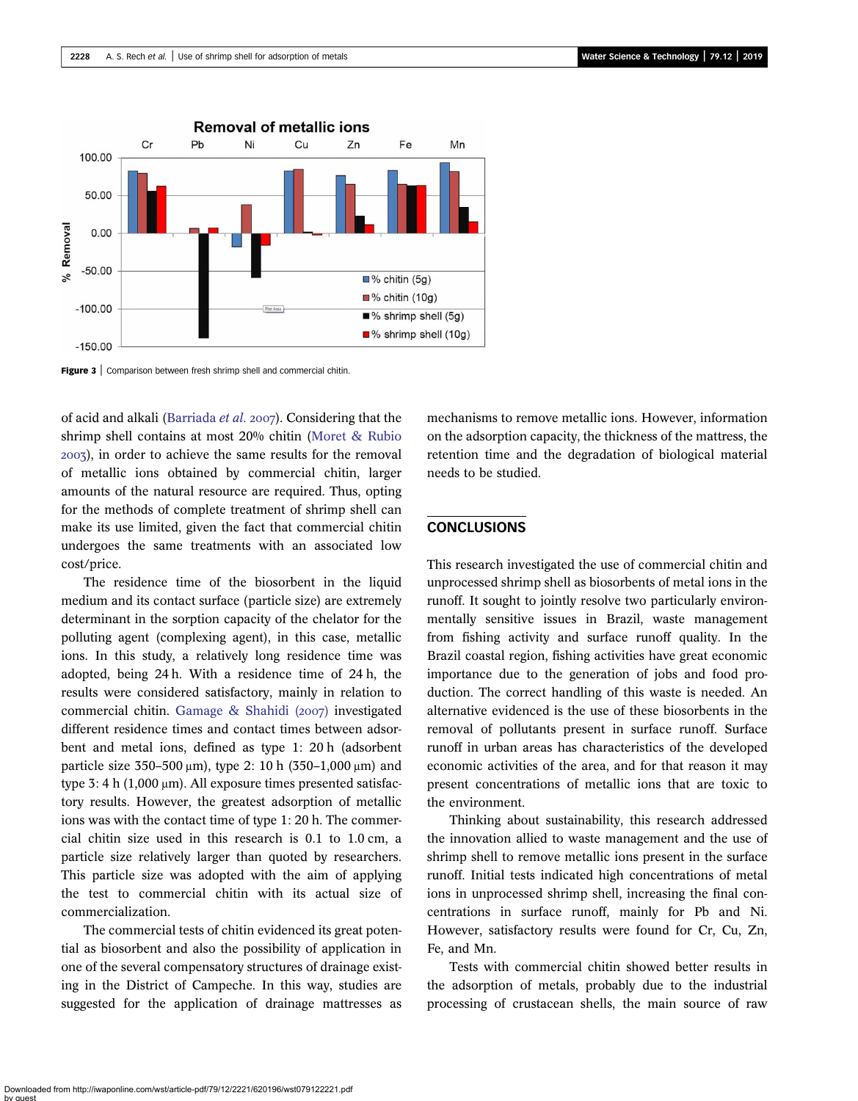<span id="page-7-0"></span>

Figure 3 | Comparison between fresh shrimp shell and commercial chitin.

of acid and alkali [\(Barriada](#page-8-0) et al. 2007). Considering that the shrimp shell contains at most 20% chitin [\(Moret & Rubio](#page-9-0) ), in order to achieve the same results for the removal of metallic ions obtained by commercial chitin, larger amounts of the natural resource are required. Thus, opting for the methods of complete treatment of shrimp shell can make its use limited, given the fact that commercial chitin undergoes the same treatments with an associated low cost/price.

The residence time of the biosorbent in the liquid medium and its contact surface (particle size) are extremely determinant in the sorption capacity of the chelator for the polluting agent (complexing agent), in this case, metallic ions. In this study, a relatively long residence time was adopted, being 24 h. With a residence time of 24 h, the results were considered satisfactory, mainly in relation to commercial chitin. Gamage & Shahidi  $(2007)$  investigated different residence times and contact times between adsorbent and metal ions, defined as type 1: 20 h (adsorbent particle size 350–500 μm), type 2: 10 h (350–1,000 μm) and type 3: 4 h (1,000 μm). All exposure times presented satisfactory results. However, the greatest adsorption of metallic ions was with the contact time of type 1: 20 h. The commercial chitin size used in this research is 0.1 to 1.0 cm, a particle size relatively larger than quoted by researchers. This particle size was adopted with the aim of applying the test to commercial chitin with its actual size of commercialization.

The commercial tests of chitin evidenced its great potential as biosorbent and also the possibility of application in one of the several compensatory structures of drainage existing in the District of Campeche. In this way, studies are suggested for the application of drainage mattresses as mechanisms to remove metallic ions. However, information on the adsorption capacity, the thickness of the mattress, the retention time and the degradation of biological material needs to be studied.

# **CONCLUSIONS**

This research investigated the use of commercial chitin and unprocessed shrimp shell as biosorbents of metal ions in the runoff. It sought to jointly resolve two particularly environmentally sensitive issues in Brazil, waste management from fishing activity and surface runoff quality. In the Brazil coastal region, fishing activities have great economic importance due to the generation of jobs and food production. The correct handling of this waste is needed. An alternative evidenced is the use of these biosorbents in the removal of pollutants present in surface runoff. Surface runoff in urban areas has characteristics of the developed economic activities of the area, and for that reason it may present concentrations of metallic ions that are toxic to the environment.

Thinking about sustainability, this research addressed the innovation allied to waste management and the use of shrimp shell to remove metallic ions present in the surface runoff. Initial tests indicated high concentrations of metal ions in unprocessed shrimp shell, increasing the final concentrations in surface runoff, mainly for Pb and Ni. However, satisfactory results were found for Cr, Cu, Zn, Fe, and Mn.

Tests with commercial chitin showed better results in the adsorption of metals, probably due to the industrial processing of crustacean shells, the main source of raw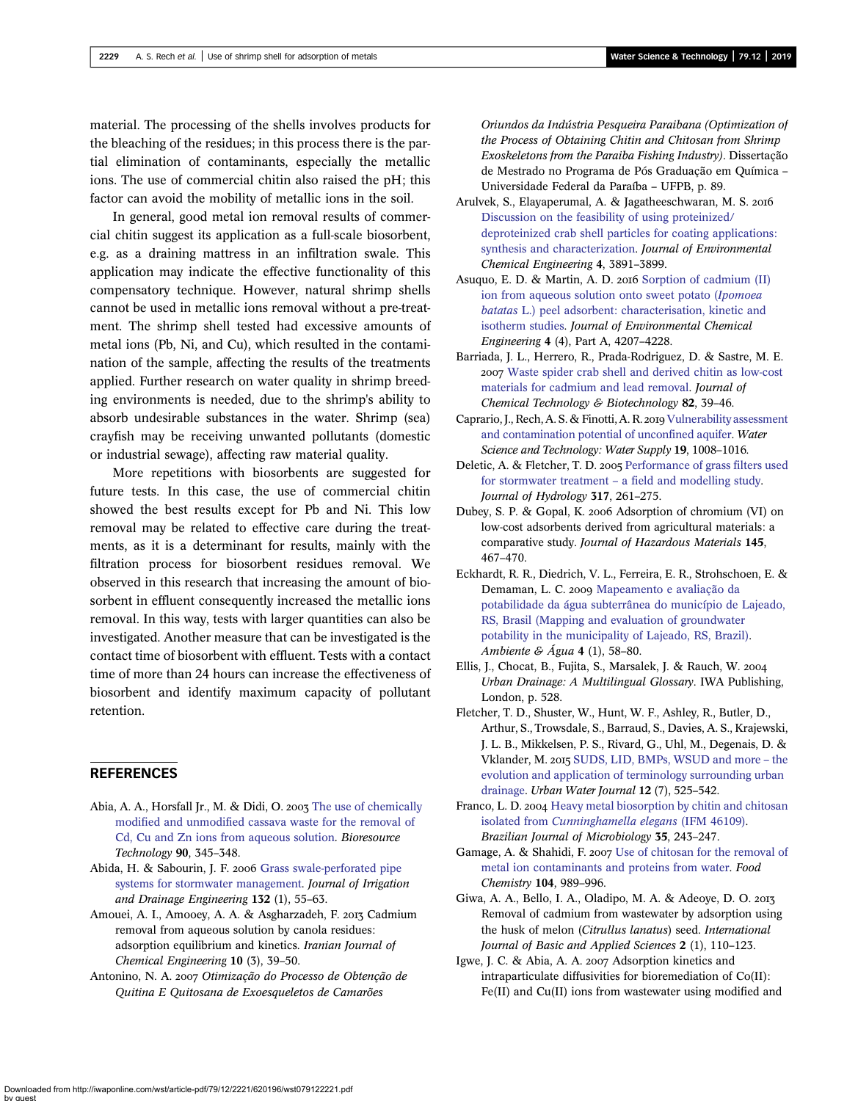<span id="page-8-0"></span>material. The processing of the shells involves products for the bleaching of the residues; in this process there is the partial elimination of contaminants, especially the metallic ions. The use of commercial chitin also raised the pH; this factor can avoid the mobility of metallic ions in the soil.

In general, good metal ion removal results of commercial chitin suggest its application as a full-scale biosorbent, e.g. as a draining mattress in an infiltration swale. This application may indicate the effective functionality of this compensatory technique. However, natural shrimp shells cannot be used in metallic ions removal without a pre-treatment. The shrimp shell tested had excessive amounts of metal ions (Pb, Ni, and Cu), which resulted in the contamination of the sample, affecting the results of the treatments applied. Further research on water quality in shrimp breeding environments is needed, due to the shrimp's ability to absorb undesirable substances in the water. Shrimp (sea) crayfish may be receiving unwanted pollutants (domestic or industrial sewage), affecting raw material quality.

More repetitions with biosorbents are suggested for future tests. In this case, the use of commercial chitin showed the best results except for Pb and Ni. This low removal may be related to effective care during the treatments, as it is a determinant for results, mainly with the filtration process for biosorbent residues removal. We observed in this research that increasing the amount of biosorbent in effluent consequently increased the metallic ions removal. In this way, tests with larger quantities can also be investigated. Another measure that can be investigated is the contact time of biosorbent with effluent. Tests with a contact time of more than 24 hours can increase the effectiveness of biosorbent and identify maximum capacity of pollutant retention.

### **REFERENCES**

- Abia, A. A., Horsfall Jr., M. & Didi, O. 2003 [The use of chemically](http://dx.doi.org/10.1016/S0960-8524(03)00145-7) [modified and unmodified cassava waste for the removal of](http://dx.doi.org/10.1016/S0960-8524(03)00145-7) [Cd, Cu and Zn ions from aqueous solution.](http://dx.doi.org/10.1016/S0960-8524(03)00145-7) Bioresource Technology 90, 345–348.
- Abida, H. & Sabourin, J. F. 2006 [Grass swale-perforated pipe](http://dx.doi.org/10.1061/(ASCE)0733-9437(2006)132:1(55)) [systems for stormwater management](http://dx.doi.org/10.1061/(ASCE)0733-9437(2006)132:1(55)). Journal of Irrigation and Drainage Engineering 132 (1), 55–63.
- Amouei, A. I., Amooey, A. A. & Asgharzadeh, F. 2013 Cadmium removal from aqueous solution by canola residues: adsorption equilibrium and kinetics. Iranian Journal of Chemical Engineering 10 (3), 39–50.
- Antonino, N. A. 2007 Otimização do Processo de Obtenção de Quitina E Quitosana de Exoesqueletos de Camarões

Oriundos da Indústria Pesqueira Paraibana (Optimization of the Process of Obtaining Chitin and Chitosan from Shrimp Exoskeletons from the Paraiba Fishing Industry). Dissertação de Mestrado no Programa de Pós Graduação em Química – Universidade Federal da Paraíba – UFPB, p. 89.

- Arulvek, S., Elayaperumal, A. & Jagatheeschwaran, M. S. [Discussion on the feasibility of using proteinized/](http://dx.doi.org/10.1016/j.jece.2016.08.031) [deproteinized crab shell particles for coating applications:](http://dx.doi.org/10.1016/j.jece.2016.08.031) [synthesis and characterization](http://dx.doi.org/10.1016/j.jece.2016.08.031). Journal of Environmental Chemical Engineering 4, 3891–3899.
- Asuquo, E. D. & Martin, A. D. 2016 [Sorption of cadmium \(II\)](http://dx.doi.org/10.1016/j.jece.2016.09.024) [ion from aqueous solution onto sweet potato \(](http://dx.doi.org/10.1016/j.jece.2016.09.024)Ipomoea batatas [L.\) peel adsorbent: characterisation, kinetic and](http://dx.doi.org/10.1016/j.jece.2016.09.024) [isotherm studies.](http://dx.doi.org/10.1016/j.jece.2016.09.024) Journal of Environmental Chemical Engineering 4 (4), Part A, 4207–4228.
- Barriada, J. L., Herrero, R., Prada-Rodriguez, D. & Sastre, M. E. [Waste spider crab shell and derived chitin as low-cost](http://dx.doi.org/10.1002/jctb.1633) [materials for cadmium and lead removal.](http://dx.doi.org/10.1002/jctb.1633) Journal of Chemical Technology & Biotechnology 82, 39–46.
- Caprario, J., Rech, A. S. & Finotti, A. R. 2019 [Vulnerability assessment](http://dx.doi.org/10.2166/ws.2018.147) [and contamination potential of unconfined aquifer.](http://dx.doi.org/10.2166/ws.2018.147) Water Science and Technology: Water Supply 19, 1008–1016.
- Deletic, A. & Fletcher, T. D. 2005 [Performance of grass filters used](http://dx.doi.org/10.1016/j.jhydrol.2005.05.021) for stormwater treatment – [a field and modelling study.](http://dx.doi.org/10.1016/j.jhydrol.2005.05.021) Journal of Hydrology 317, 261–275.
- Dubey, S. P. & Gopal, K. 2006 Adsorption of chromium (VI) on low-cost adsorbents derived from agricultural materials: a comparative study. Journal of Hazardous Materials 145, 467–470.
- Eckhardt, R. R., Diedrich, V. L., Ferreira, E. R., Strohschoen, E. & Demaman, L. C. 2009 [Mapeamento e avaliação da](http://dx.doi.org/10.4136/ambi-agua.74) [potabilidade da água subterrânea do município de Lajeado,](http://dx.doi.org/10.4136/ambi-agua.74) [RS, Brasil \(Mapping and evaluation of groundwater](http://dx.doi.org/10.4136/ambi-agua.74) [potability in the municipality of Lajeado, RS, Brazil\)](http://dx.doi.org/10.4136/ambi-agua.74). Ambiente & Água 4 (1), 58-80.
- Ellis, J., Chocat, B., Fujita, S., Marsalek, J. & Rauch, W. Urban Drainage: A Multilingual Glossary. IWA Publishing, London, p. 528.
- Fletcher, T. D., Shuster, W., Hunt, W. F., Ashley, R., Butler, D., Arthur, S., Trowsdale, S., Barraud, S., Davies, A. S., Krajewski, J. L. B., Mikkelsen, P. S., Rivard, G., Uhl, M., Degenais, D. & Vklander, M. 2015 [SUDS, LID, BMPs, WSUD and more](http://dx.doi.org/10.1080/1573062X.2014.916314) - the [evolution and application of terminology surrounding urban](http://dx.doi.org/10.1080/1573062X.2014.916314) [drainage.](http://dx.doi.org/10.1080/1573062X.2014.916314) Urban Water Journal 12 (7), 525–542.
- Franco, L. D. 2004 [Heavy metal biosorption by chitin and chitosan](http://dx.doi.org/10.1590/S1517-83822004000200013) isolated from [Cunninghamella elegans](http://dx.doi.org/10.1590/S1517-83822004000200013) (IFM 46109). Brazilian Journal of Microbiology 35, 243–247.
- Gamage, A. & Shahidi, F. 2007 [Use of chitosan for the removal of](http://dx.doi.org/10.1016/j.foodchem.2007.01.004) [metal ion contaminants and proteins from water](http://dx.doi.org/10.1016/j.foodchem.2007.01.004). Food Chemistry 104, 989–996.
- Giwa, A. A., Bello, I. A., Oladipo, M. A. & Adeoye, D. O. Removal of cadmium from wastewater by adsorption using the husk of melon (Citrullus lanatus) seed. International Journal of Basic and Applied Sciences 2 (1), 110–123.
- Igwe, J. C. & Abia, A. A. 2007 Adsorption kinetics and intraparticulate diffusivities for bioremediation of Co(II): Fe(II) and Cu(II) ions from wastewater using modified and